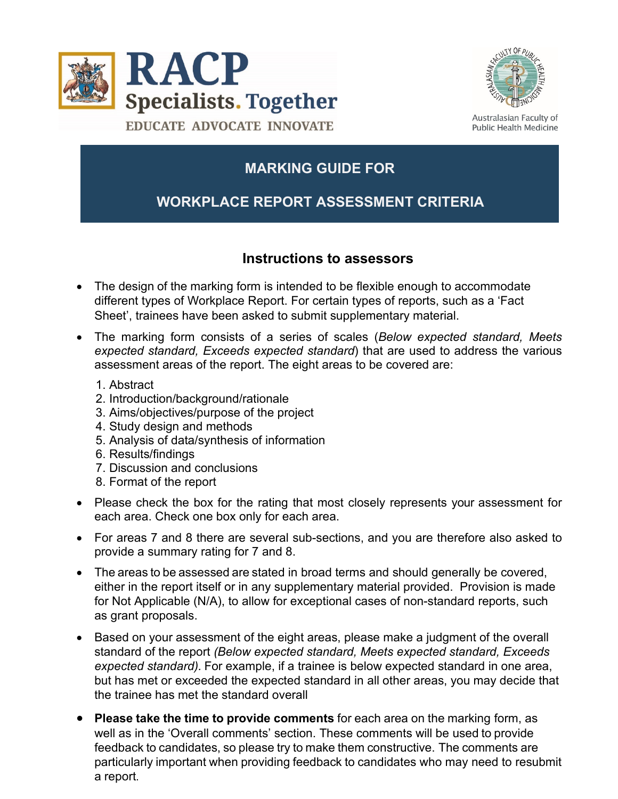



Australasian Faculty of Public Health Medicine

# **MARKING GUIDE FOR**

## **WORKPLACE REPORT ASSESSMENT CRITERIA**

#### **Instructions to assessors**

- The design of the marking form is intended to be flexible enough to accommodate different types of Workplace Report. For certain types of reports, such as a 'Fact Sheet', trainees have been asked to submit supplementary material.
- The marking form consists of a series of scales (*Below expected standard, Meets expected standard, Exceeds expected standard*) that are used to address the various assessment areas of the report. The eight areas to be covered are:
	- 1. Abstract
	- 2. Introduction/background/rationale
	- 3. Aims/objectives/purpose of the project
	- 4. Study design and methods
	- 5. Analysis of data/synthesis of information
	- 6. Results/findings
	- 7. Discussion and conclusions
	- 8. Format of the report
- Please check the box for the rating that most closely represents your assessment for each area. Check one box only for each area.
- For areas 7 and 8 there are several sub-sections, and you are therefore also asked to provide a summary rating for 7 and 8.
- The areas to be assessed are stated in broad terms and should generally be covered, either in the report itself or in any supplementary material provided. Provision is made for Not Applicable (N/A), to allow for exceptional cases of non-standard reports, such as grant proposals.
- Based on your assessment of the eight areas, please make a judgment of the overall standard of the report *(Below expected standard, Meets expected standard, Exceeds expected standard).* For example, if a trainee is below expected standard in one area, but has met or exceeded the expected standard in all other areas, you may decide that the trainee has met the standard overall
- **Please take the time to provide comments** for each area on the marking form, as well as in the 'Overall comments' section. These comments will be used to provide feedback to candidates, so please try to make them constructive. The comments are particularly important when providing feedback to candidates who may need to resubmit a report.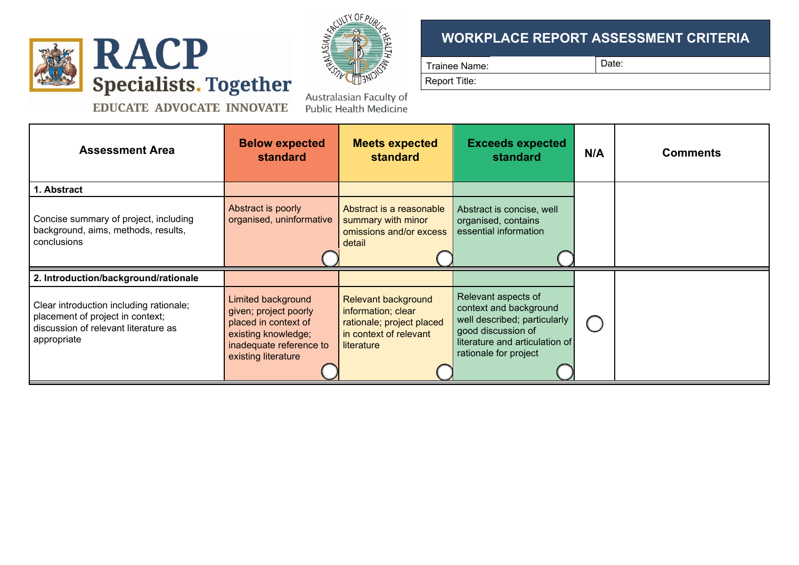



Australasian Faculty of

Public Health Medicine

### **WORKPLACE REPORT ASSESSMENT CRITERIA**

Trainee Name: Date:

Report Title:

EDUCATE ADVOCATE INNOVATE

| <b>Assessment Area</b>                                                                                                             | <b>Below expected</b><br><b>standard</b>                                                                                                            | <b>Meets expected</b><br><b>standard</b>                                                                              | <b>Exceeds expected</b><br>standard                                                                                                                            | N/A | <b>Comments</b> |
|------------------------------------------------------------------------------------------------------------------------------------|-----------------------------------------------------------------------------------------------------------------------------------------------------|-----------------------------------------------------------------------------------------------------------------------|----------------------------------------------------------------------------------------------------------------------------------------------------------------|-----|-----------------|
| 1. Abstract                                                                                                                        |                                                                                                                                                     |                                                                                                                       |                                                                                                                                                                |     |                 |
| Concise summary of project, including<br>background, aims, methods, results,<br>conclusions                                        | Abstract is poorly<br>organised, uninformative                                                                                                      | Abstract is a reasonable<br>summary with minor<br>omissions and/or excess<br>detail                                   | Abstract is concise, well<br>organised, contains<br>essential information                                                                                      |     |                 |
| 2. Introduction/background/rationale                                                                                               |                                                                                                                                                     |                                                                                                                       |                                                                                                                                                                |     |                 |
| Clear introduction including rationale;<br>placement of project in context;<br>discussion of relevant literature as<br>appropriate | <b>Limited background</b><br>given; project poorly<br>placed in context of<br>existing knowledge;<br>inadequate reference to<br>existing literature | <b>Relevant background</b><br>information; clear<br>rationale; project placed<br>in context of relevant<br>literature | Relevant aspects of<br>context and background<br>well described; particularly<br>good discussion of<br>literature and articulation of<br>rationale for project |     |                 |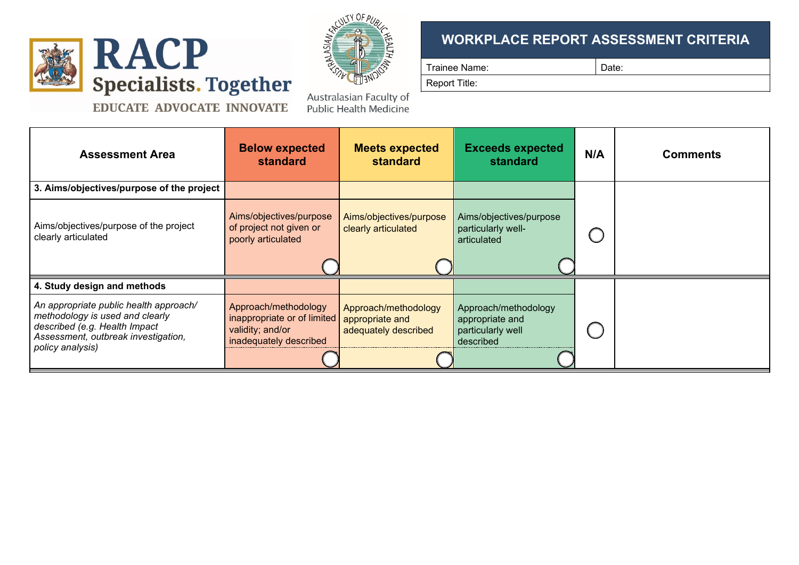



#### EDUCATE ADVOCATE INNOVATE

Australasian Faculty of **Public Health Medicine** 

#### **WORKPLACE REPORT ASSESSMENT CRITERIA**

Trainee Name:  $\qquad \qquad$  Date:

Report Title:

| ∼. |  |  |
|----|--|--|
|    |  |  |

| <b>Assessment Area</b>                                                                                                                                                | <b>Below expected</b><br><b>standard</b>                                                          | <b>Meets expected</b><br>standard                               | <b>Exceeds expected</b><br><b>standard</b>                                | N/A | <b>Comments</b> |
|-----------------------------------------------------------------------------------------------------------------------------------------------------------------------|---------------------------------------------------------------------------------------------------|-----------------------------------------------------------------|---------------------------------------------------------------------------|-----|-----------------|
| 3. Aims/objectives/purpose of the project                                                                                                                             |                                                                                                   |                                                                 |                                                                           |     |                 |
| Aims/objectives/purpose of the project<br>clearly articulated                                                                                                         | Aims/objectives/purpose<br>of project not given or<br>poorly articulated                          | Aims/objectives/purpose<br>clearly articulated                  | Aims/objectives/purpose<br>particularly well-<br>articulated              |     |                 |
| 4. Study design and methods                                                                                                                                           |                                                                                                   |                                                                 |                                                                           |     |                 |
| An appropriate public health approach/<br>methodology is used and clearly<br>described (e.g. Health Impact<br>Assessment, outbreak investigation,<br>policy analysis) | Approach/methodology<br>inappropriate or of limited<br>validity; and/or<br>inadequately described | Approach/methodology<br>appropriate and<br>adequately described | Approach/methodology<br>appropriate and<br>particularly well<br>described |     |                 |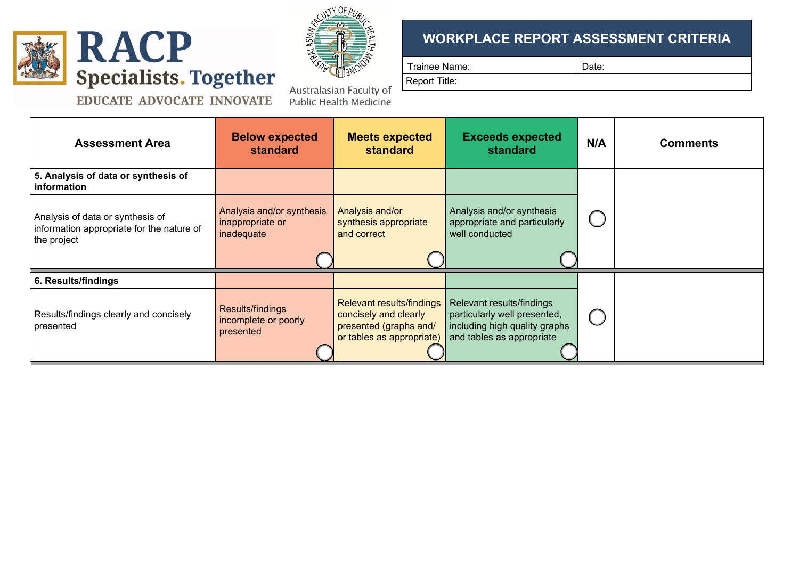

**Assessment Area B** 



## **WORKPLACE REPORT ASSESSMENT CRITERIA**

Trainee Name:  $\vert$  Date:

Report Title:

| <b>standard</b><br><b>standard</b><br>standard |  |
|------------------------------------------------|--|

| <b>Assessment Area</b>                                                                       | <b>DEIOW EXPECTED</b><br>standard                           | <b>INIGUS GADECTED</b><br>standard                                                                               | схсееаs expected<br>standard                                                                                            | N/A        | <b>Comments</b> |
|----------------------------------------------------------------------------------------------|-------------------------------------------------------------|------------------------------------------------------------------------------------------------------------------|-------------------------------------------------------------------------------------------------------------------------|------------|-----------------|
| 5. Analysis of data or synthesis of<br>information                                           |                                                             |                                                                                                                  |                                                                                                                         |            |                 |
| Analysis of data or synthesis of<br>information appropriate for the nature of<br>the project | Analysis and/or synthesis<br>inappropriate or<br>inadequate | Analysis and/or<br>synthesis appropriate<br>and correct                                                          | Analysis and/or synthesis<br>appropriate and particularly<br>well conducted                                             | $\bigcup$  |                 |
| 6. Results/findings                                                                          |                                                             |                                                                                                                  |                                                                                                                         |            |                 |
| Results/findings clearly and concisely<br>presented                                          | Results/findings<br>incomplete or poorly<br>presented       | <b>Relevant results/findings</b><br>concisely and clearly<br>presented (graphs and/<br>or tables as appropriate) | Relevant results/findings<br>particularly well presented,<br>including high quality graphs<br>and tables as appropriate | $\bigcirc$ |                 |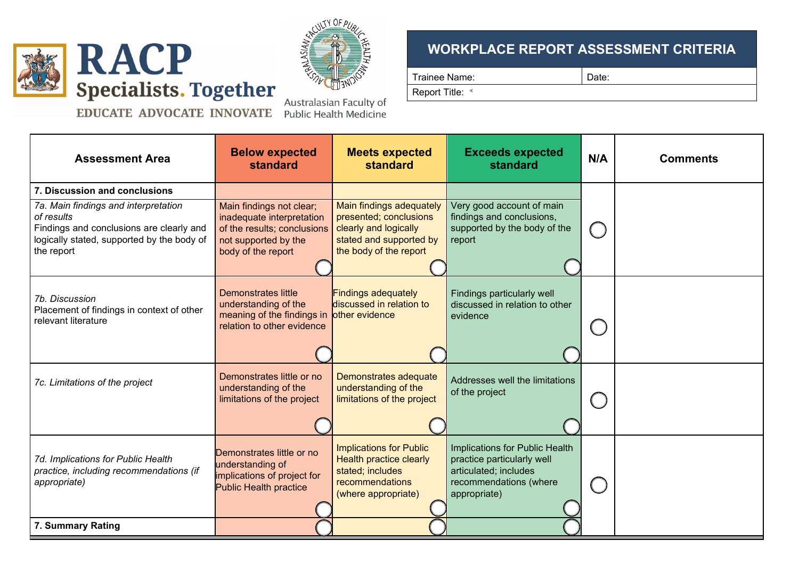

 $\mathsf T$ 



**EDUCATE ADVOCATE INNOVATE** 

Australasian Faculty of **Public Health Medicine** 

# **WORKPLACE REPORT ASSESSMENT CRITERIA**

Trainee Name:  $\vert$  Date:

٦

Report Title: «

| <b>Assessment Area</b>                                                                                                                                                                      | <b>Below expected</b><br>standard                                                                                                  | <b>Meets expected</b><br><b>standard</b>                                                                                         | <b>Exceeds expected</b><br>standard                                                                                             | N/A | <b>Comments</b> |
|---------------------------------------------------------------------------------------------------------------------------------------------------------------------------------------------|------------------------------------------------------------------------------------------------------------------------------------|----------------------------------------------------------------------------------------------------------------------------------|---------------------------------------------------------------------------------------------------------------------------------|-----|-----------------|
| 7. Discussion and conclusions<br>7a. Main findings and interpretation<br>of results<br>Findings and conclusions are clearly and<br>logically stated, supported by the body of<br>the report | Main findings not clear;<br>inadequate interpretation<br>of the results; conclusions<br>not supported by the<br>body of the report | Main findings adequately<br>presented; conclusions<br>clearly and logically<br>stated and supported by<br>the body of the report | Very good account of main<br>findings and conclusions,<br>supported by the body of the<br>report                                |     |                 |
| 7b. Discussion<br>Placement of findings in context of other<br>relevant literature                                                                                                          | Demonstrates little<br>understanding of the<br>meaning of the findings in other evidence<br>relation to other evidence             | <b>Findings adequately</b><br>discussed in relation to                                                                           | Findings particularly well<br>discussed in relation to other<br>evidence                                                        |     |                 |
| 7c. Limitations of the project                                                                                                                                                              | Demonstrates little or no<br>understanding of the<br>limitations of the project                                                    | Demonstrates adequate<br>understanding of the<br>limitations of the project                                                      | Addresses well the limitations<br>of the project                                                                                |     |                 |
| 7d. Implications for Public Health<br>practice, including recommendations (if<br>appropriate)                                                                                               | Demonstrates little or no<br>understanding of<br>implications of project for<br><b>Public Health practice</b>                      | <b>Implications for Public</b><br><b>Health practice clearly</b><br>stated; includes<br>recommendations<br>(where appropriate)   | Implications for Public Health<br>practice particularly well<br>articulated; includes<br>recommendations (where<br>appropriate) |     |                 |
| 7. Summary Rating                                                                                                                                                                           |                                                                                                                                    |                                                                                                                                  |                                                                                                                                 |     |                 |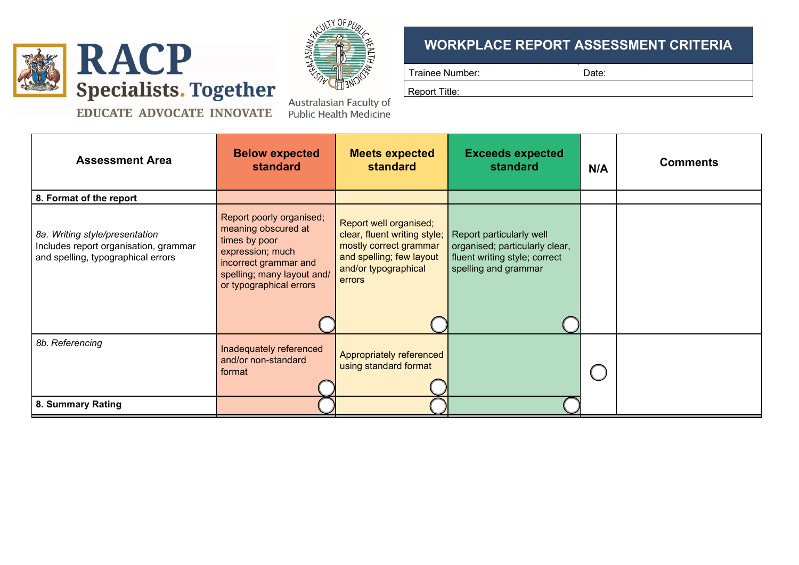



### **WORKPLACE REPORT ASSESSMENT CRITERIA**

Trainee Number:  $\vert$  Date:

Report Title:

**EDUCATE ADVOCATE INNOVATE** 

Australasian Faculty of **Public Health Medicine** 

| <b>Assessment Area</b>                                                                                        | <b>Below expected</b><br><b>standard</b>                                                                                                                               | <b>Meets expected</b><br><b>standard</b>                                                                                                       | <b>Exceeds expected</b><br>standard                                                                                 | N/A | <b>Comments</b> |
|---------------------------------------------------------------------------------------------------------------|------------------------------------------------------------------------------------------------------------------------------------------------------------------------|------------------------------------------------------------------------------------------------------------------------------------------------|---------------------------------------------------------------------------------------------------------------------|-----|-----------------|
| 8. Format of the report                                                                                       |                                                                                                                                                                        |                                                                                                                                                |                                                                                                                     |     |                 |
| 8a. Writing style/presentation<br>Includes report organisation, grammar<br>and spelling, typographical errors | Report poorly organised;<br>meaning obscured at<br>times by poor<br>expression; much<br>incorrect grammar and<br>spelling; many layout and/<br>or typographical errors | Report well organised;<br>clear, fluent writing style;<br>mostly correct grammar<br>and spelling; few layout<br>and/or typographical<br>errors | Report particularly well<br>organised; particularly clear,<br>fluent writing style; correct<br>spelling and grammar |     |                 |
| 8b. Referencing                                                                                               | Inadequately referenced<br>and/or non-standard<br>format                                                                                                               | Appropriately referenced<br>using standard format                                                                                              |                                                                                                                     |     |                 |
| 8. Summary Rating                                                                                             |                                                                                                                                                                        |                                                                                                                                                |                                                                                                                     |     |                 |